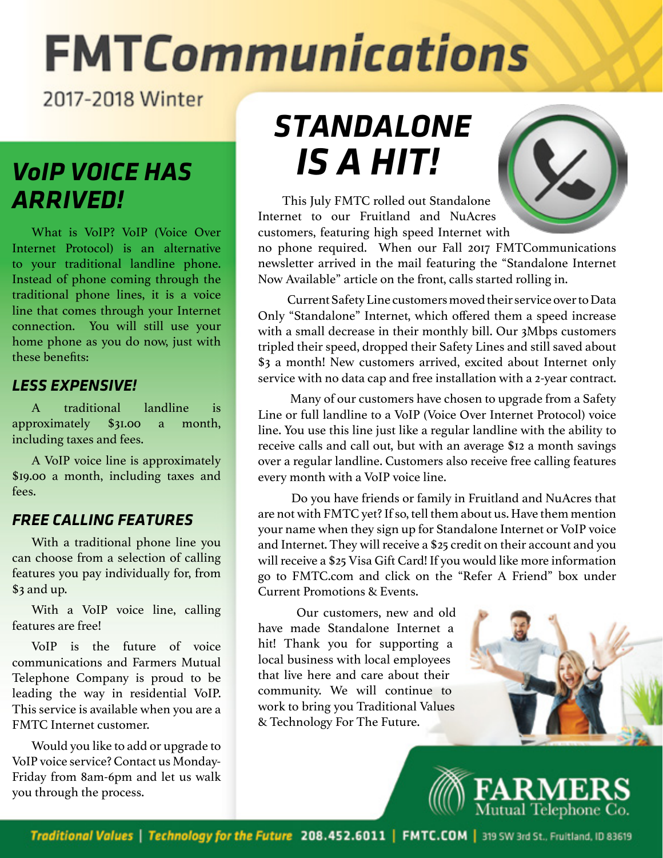# **FMTCommunications**

2017-2018 Winter

# *ARRIVED!*

What is VoIP? VoIP (Voice Over Internet Protocol) is an alternative to your traditional landline phone. Instead of phone coming through the traditional phone lines, it is a voice line that comes through your Internet connection. You will still use your home phone as you do now, just with these benefits:

### *LESS EXPENSIVE!*

A traditional landline is approximately \$31.00 a month, including taxes and fees.

A VoIP voice line is approximately \$19.00 a month, including taxes and fees.

### *FREE CALLING FEATURES*

With a traditional phone line you can choose from a selection of calling features you pay individually for, from \$3 and up.

With a VoIP voice line, calling features are free!

VoIP is the future of voice communications and Farmers Mutual Telephone Company is proud to be leading the way in residential VoIP. This service is available when you are a FMTC Internet customer.

Would you like to add or upgrade to VoIP voice service? Contact us Monday-Friday from 8am-6pm and let us walk you through the process.

# *STANDALONE Vo IS A HIT! IP VOICE HAS*



This July FMTC rolled out Standalone Internet to our Fruitland and NuAcres customers, featuring high speed Internet with

no phone required. When our Fall 2017 FMTCommunications newsletter arrived in the mail featuring the "Standalone Internet Now Available" article on the front, calls started rolling in.

 Current Safety Line customers moved their service over to Data Only "Standalone" Internet, which offered them a speed increase with a small decrease in their monthly bill. Our 3Mbps customers tripled their speed, dropped their Safety Lines and still saved about \$3 a month! New customers arrived, excited about Internet only service with no data cap and free installation with a 2-year contract.

 Many of our customers have chosen to upgrade from a Safety Line or full landline to a VoIP (Voice Over Internet Protocol) voice line. You use this line just like a regular landline with the ability to receive calls and call out, but with an average \$12 a month savings over a regular landline. Customers also receive free calling features every month with a VoIP voice line.

 Do you have friends or family in Fruitland and NuAcres that are not with FMTC yet? If so, tell them about us. Have them mention your name when they sign up for Standalone Internet or VoIP voice and Internet. They will receive a \$25 credit on their account and you will receive a \$25 Visa Gift Card! If you would like more information go to FMTC.com and click on the "Refer A Friend" box under Current Promotions & Events.

 Our customers, new and old have made Standalone Internet a hit! Thank you for supporting a local business with local employees that live here and care about their community. We will continue to work to bring you Traditional Values & Technology For The Future.



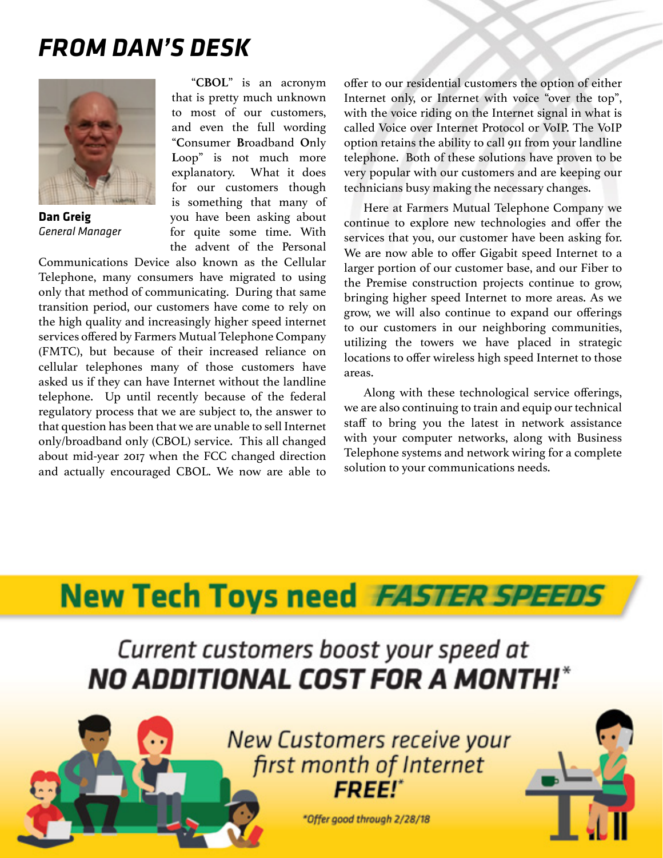### *FROM DAN'S DESK*



**Dan Greig** *General Manager*

"**CBOL**" is an acronym that is pretty much unknown to most of our customers, and even the full wording "**C**onsumer **B**roadband **O**nly Loop" is not much more explanatory. What it does for our customers though is something that many of you have been asking about for quite some time. With the advent of the Personal

Communications Device also known as the Cellular Telephone, many consumers have migrated to using only that method of communicating. During that same transition period, our customers have come to rely on the high quality and increasingly higher speed internet services offered by Farmers Mutual Telephone Company (FMTC), but because of their increased reliance on cellular telephones many of those customers have asked us if they can have Internet without the landline telephone. Up until recently because of the federal regulatory process that we are subject to, the answer to that question has been that we are unable to sell Internet only/broadband only (CBOL) service. This all changed about mid-year 2017 when the FCC changed direction and actually encouraged CBOL. We now are able to

offer to our residential customers the option of either Internet only, or Internet with voice "over the top", with the voice riding on the Internet signal in what is called Voice over Internet Protocol or VoIP. The VoIP option retains the ability to call 911 from your landline telephone. Both of these solutions have proven to be very popular with our customers and are keeping our technicians busy making the necessary changes.

Here at Farmers Mutual Telephone Company we continue to explore new technologies and offer the services that you, our customer have been asking for. We are now able to offer Gigabit speed Internet to a larger portion of our customer base, and our Fiber to the Premise construction projects continue to grow, bringing higher speed Internet to more areas. As we grow, we will also continue to expand our offerings to our customers in our neighboring communities, utilizing the towers we have placed in strategic locations to offer wireless high speed Internet to those areas.

Along with these technological service offerings, we are also continuing to train and equip our technical staff to bring you the latest in network assistance with your computer networks, along with Business Telephone systems and network wiring for a complete solution to your communications needs.

## **New Tech Toys need FASTER SPEEDS**

Current customers boost your speed at *NO ADDITIONAL COST FOR A MONTH!*\*



**New Customers receive your** first month of Internet **FREE!\*** 

\*Offer good through 2/28/18

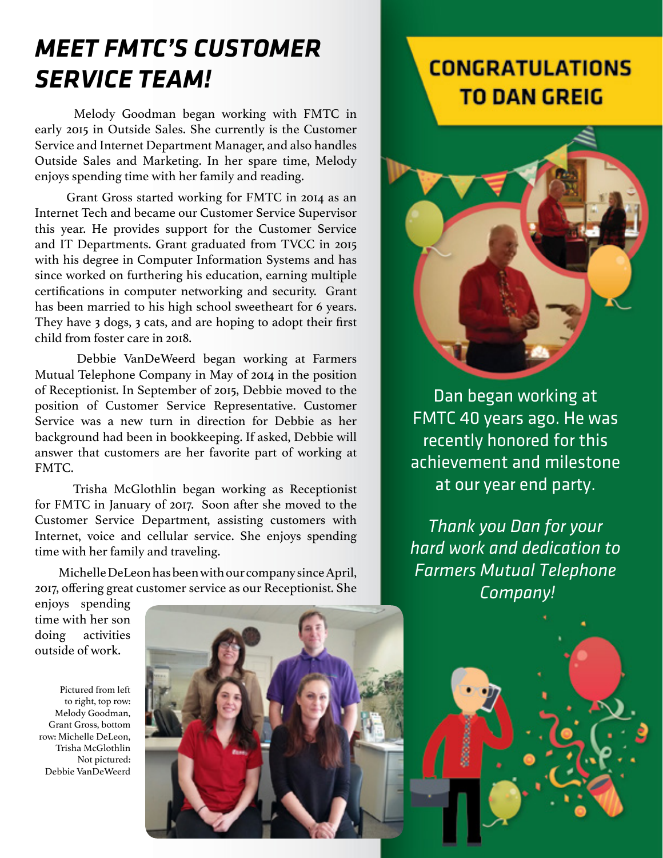## *MEET FMTC'S CUSTOMER SERVICE TEAM!*

 Melody Goodman began working with FMTC in early 2015 in Outside Sales. She currently is the Customer Service and Internet Department Manager, and also handles Outside Sales and Marketing. In her spare time, Melody enjoys spending time with her family and reading.

 Grant Gross started working for FMTC in 2014 as an Internet Tech and became our Customer Service Supervisor this year. He provides support for the Customer Service and IT Departments. Grant graduated from TVCC in 2015 with his degree in Computer Information Systems and has since worked on furthering his education, earning multiple certifications in computer networking and security. Grant has been married to his high school sweetheart for 6 years. They have 3 dogs, 3 cats, and are hoping to adopt their first child from foster care in 2018.

 Debbie VanDeWeerd began working at Farmers Mutual Telephone Company in May of 2014 in the position of Receptionist. In September of 2015, Debbie moved to the position of Customer Service Representative. Customer Service was a new turn in direction for Debbie as her background had been in bookkeeping. If asked, Debbie will answer that customers are her favorite part of working at FMTC.

 Trisha McGlothlin began working as Receptionist for FMTC in January of 2017. Soon after she moved to the Customer Service Department, assisting customers with Internet, voice and cellular service. She enjoys spending time with her family and traveling.

 Michelle DeLeon has been with our company since April, 2017, offering great customer service as our Receptionist. She

#### enjoys spending time with her son doing activities outside of work.

Pictured from left to right, top row: Melody Goodman, Grant Gross, bottom row: Michelle DeLeon, Trisha McGlothlin Not pictured: Debbie VanDeWeerd



### **CONGRATULATIONS** TO DAN GREIG



Dan began working at FMTC 40 years ago. He was recently honored for this achievement and milestone at our year end party.

*Thank you Dan for your hard work and dedication to Farmers Mutual Telephone Company!*